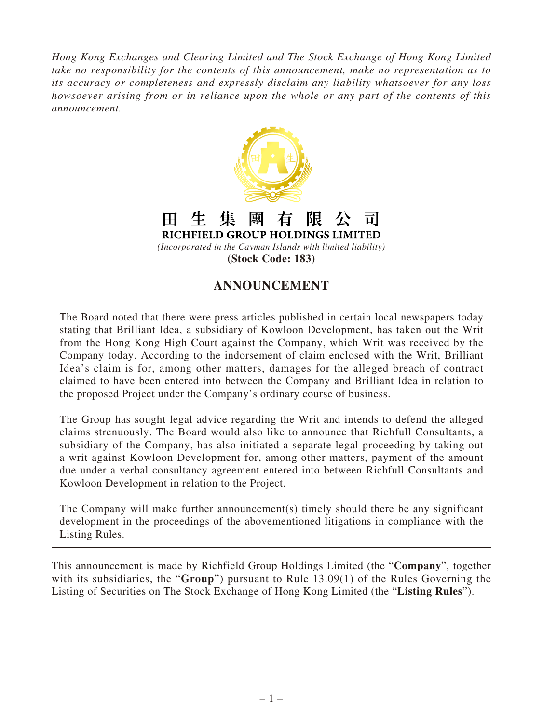*Hong Kong Exchanges and Clearing Limited and The Stock Exchange of Hong Kong Limited take no responsibility for the contents of this announcement, make no representation as to its accuracy or completeness and expressly disclaim any liability whatsoever for any loss howsoever arising from or in reliance upon the whole or any part of the contents of this announcement.*



生 團 有 阻 隼  $\bf H$  . ची RICHFIELD GROUP HOLDINGS LIMITED

*(Incorporated in the Cayman Islands with limited liability)* **(Stock Code: 183)**

## **ANNOUNCEMENT**

The Board noted that there were press articles published in certain local newspapers today stating that Brilliant Idea, a subsidiary of Kowloon Development, has taken out the Writ from the Hong Kong High Court against the Company, which Writ was received by the Company today. According to the indorsement of claim enclosed with the Writ, Brilliant Idea's claim is for, among other matters, damages for the alleged breach of contract claimed to have been entered into between the Company and Brilliant Idea in relation to the proposed Project under the Company's ordinary course of business.

The Group has sought legal advice regarding the Writ and intends to defend the alleged claims strenuously. The Board would also like to announce that Richfull Consultants, a subsidiary of the Company, has also initiated a separate legal proceeding by taking out a writ against Kowloon Development for, among other matters, payment of the amount due under a verbal consultancy agreement entered into between Richfull Consultants and Kowloon Development in relation to the Project.

The Company will make further announcement(s) timely should there be any significant development in the proceedings of the abovementioned litigations in compliance with the Listing Rules.

This announcement is made by Richfield Group Holdings Limited (the "**Company**", together with its subsidiaries, the "**Group**") pursuant to Rule 13.09(1) of the Rules Governing the Listing of Securities on The Stock Exchange of Hong Kong Limited (the "**Listing Rules**").